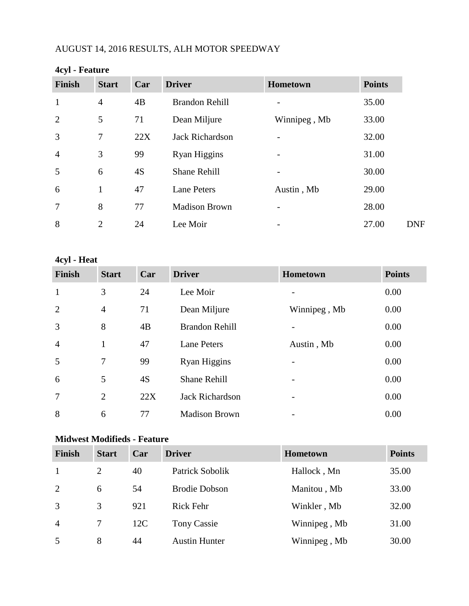# AUGUST 14, 2016 RESULTS, ALH MOTOR SPEEDWAY

| $-2.7 -$       |                |     |                        |                          |               |
|----------------|----------------|-----|------------------------|--------------------------|---------------|
| <b>Finish</b>  | <b>Start</b>   | Car | <b>Driver</b>          | Hometown                 | <b>Points</b> |
| $\mathbf{1}$   | $\overline{4}$ | 4B  | <b>Brandon Rehill</b>  |                          | 35.00         |
| 2              | 5              | 71  | Dean Miljure           | Winnipeg, Mb             | 33.00         |
| 3              | 7              | 22X | <b>Jack Richardson</b> |                          | 32.00         |
| $\overline{4}$ | 3              | 99  | <b>Ryan Higgins</b>    |                          | 31.00         |
| 5              | 6              | 4S  | <b>Shane Rehill</b>    | $\overline{\phantom{0}}$ | 30.00         |
| 6              | 1              | 47  | <b>Lane Peters</b>     | Austin, Mb               | 29.00         |
| $\overline{7}$ | 8              | 77  | <b>Madison Brown</b>   |                          | 28.00         |
| 8              | $\overline{2}$ | 24  | Lee Moir               |                          | 27.00         |

#### **4cyl - Feature**

**4cyl - Heat**

| <b>Finish</b>   | <b>Start</b>   | Car | <b>Driver</b>          | Hometown     | <b>Points</b> |
|-----------------|----------------|-----|------------------------|--------------|---------------|
| $\mathbf{1}$    | 3              | 24  | Lee Moir               |              | 0.00          |
| 2               | $\overline{4}$ | 71  | Dean Miljure           | Winnipeg, Mb | 0.00          |
| 3               | 8              | 4B  | <b>Brandon Rehill</b>  |              | 0.00          |
| $\overline{4}$  | $\mathbf{1}$   | 47  | <b>Lane Peters</b>     | Austin, Mb   | 0.00          |
| 5               | $\tau$         | 99  | Ryan Higgins           |              | 0.00          |
| 6               | 5              | 4S  | <b>Shane Rehill</b>    |              | 0.00          |
| $7\phantom{.0}$ | 2              | 22X | <b>Jack Richardson</b> |              | 0.00          |
| 8               | 6              | 77  | <b>Madison Brown</b>   |              | 0.00          |

# **Midwest Modifieds - Feature**

| <b>Finish</b>  | <b>Start</b> | Car | <b>Driver</b>        | <b>Hometown</b> | <b>Points</b> |
|----------------|--------------|-----|----------------------|-----------------|---------------|
|                | 2            | 40  | Patrick Sobolik      | Hallock, Mn     | 35.00         |
| 2              | 6            | 54  | <b>Brodie Dobson</b> | Manitou, Mb     | 33.00         |
| 3              | 3            | 921 | <b>Rick Fehr</b>     | Winkler, Mb     | 32.00         |
| $\overline{4}$ |              | 12C | <b>Tony Cassie</b>   | Winnipeg, Mb    | 31.00         |
| 5              | 8            | 44  | <b>Austin Hunter</b> | Winnipeg, Mb    | 30.00         |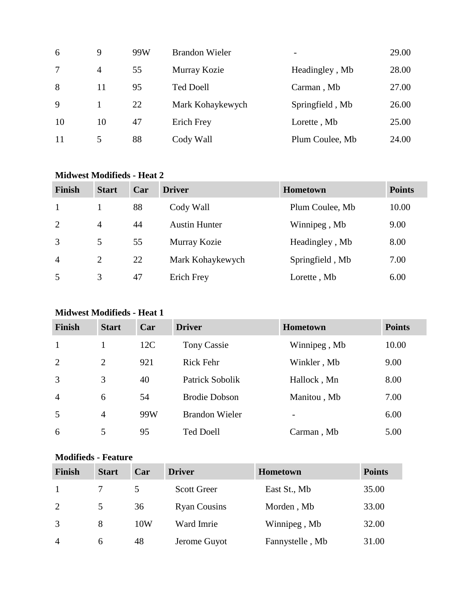| 6  | 9              | 99W | <b>Brandon Wieler</b> | -               | 29.00 |
|----|----------------|-----|-----------------------|-----------------|-------|
| 7  | $\overline{4}$ | 55  | Murray Kozie          | Headingley, Mb  | 28.00 |
| 8  | 11             | 95  | <b>Ted Doell</b>      | Carman, Mb      | 27.00 |
| 9  |                | 22  | Mark Kohaykewych      | Springfield, Mb | 26.00 |
| 10 | 10             | 47  | Erich Frey            | Lorette, Mb     | 25.00 |
| 11 |                | 88  | Cody Wall             | Plum Coulee, Mb | 24.00 |

### **Midwest Modifieds - Heat 2**

| Finish         | <b>Start</b>   | Car | <b>Driver</b>        | Hometown        | <b>Points</b> |
|----------------|----------------|-----|----------------------|-----------------|---------------|
| -1             |                | 88  | Cody Wall            | Plum Coulee, Mb | 10.00         |
| 2              | 4              | 44  | <b>Austin Hunter</b> | Winnipeg, Mb    | 9.00          |
| 3              | 5              | 55  | Murray Kozie         | Headingley, Mb  | 8.00          |
| $\overline{4}$ | $\overline{2}$ | 22  | Mark Kohaykewych     | Springfield, Mb | 7.00          |
| 5              | 3              | 47  | Erich Frey           | Lorette, Mb     | 6.00          |

# **Midwest Modifieds - Heat 1**

| <b>Finish</b>  | <b>Start</b>   | Car | <b>Driver</b>         | <b>Hometown</b> | <b>Points</b> |
|----------------|----------------|-----|-----------------------|-----------------|---------------|
| $\mathbf{1}$   |                | 12C | <b>Tony Cassie</b>    | Winnipeg, Mb    | 10.00         |
| 2              | 2              | 921 | <b>Rick Fehr</b>      | Winkler, Mb     | 9.00          |
| 3              | 3              | 40  | Patrick Sobolik       | Hallock, Mn     | 8.00          |
| $\overline{4}$ | 6              | 54  | <b>Brodie Dobson</b>  | Manitou, Mb     | 7.00          |
| 5              | $\overline{4}$ | 99W | <b>Brandon Wieler</b> | -               | 6.00          |
| 6              | 5              | 95  | <b>Ted Doell</b>      | Carman, Mb      | 5.00          |

#### **Modifieds - Feature**

| <b>Finish</b>  | <b>Start</b> | Car | <b>Driver</b>       | <b>Hometown</b> | <b>Points</b> |
|----------------|--------------|-----|---------------------|-----------------|---------------|
|                |              |     | <b>Scott Greer</b>  | East St., Mb    | 35.00         |
| 2              | 5.           | 36  | <b>Ryan Cousins</b> | Morden, Mb      | 33.00         |
| 3              | 8            | 10W | Ward Imrie          | Winnipeg, Mb    | 32.00         |
| $\overline{4}$ | 6            | 48  | Jerome Guyot        | Fannystelle, Mb | 31.00         |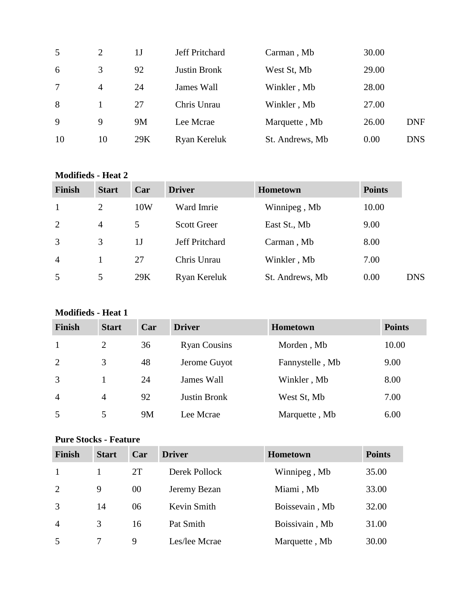| 5  | $\overline{2}$ | 1 J | Jeff Pritchard      | Carman, Mb      | 30.00 |            |
|----|----------------|-----|---------------------|-----------------|-------|------------|
| 6  | 3              | 92  | <b>Justin Bronk</b> | West St, Mb     | 29.00 |            |
| 7  | 4              | 24  | James Wall          | Winkler, Mb     | 28.00 |            |
| 8  |                | 27  | Chris Unrau         | Winkler, Mb     | 27.00 |            |
| 9  | 9              | 9M  | Lee Mcrae           | Marquette, Mb   | 26.00 | <b>DNF</b> |
| 10 | 10             | 29K | Ryan Kereluk        | St. Andrews, Mb | 0.00  | <b>DNS</b> |

#### **Modifieds - Heat 2**

| <b>Finish</b>  | <b>Start</b>   | Car | <b>Driver</b>         | <b>Hometown</b> | <b>Points</b> |            |
|----------------|----------------|-----|-----------------------|-----------------|---------------|------------|
| 1              | $\overline{2}$ | 10W | Ward Imrie            | Winnipeg, Mb    | 10.00         |            |
| 2              | $\overline{4}$ | 5   | <b>Scott Greer</b>    | East St., Mb    | 9.00          |            |
| 3              | 3              | 1J  | <b>Jeff Pritchard</b> | Carman, Mb      | 8.00          |            |
| $\overline{4}$ |                | 27  | Chris Unrau           | Winkler, Mb     | 7.00          |            |
| 5              | 5              | 29K | Ryan Kereluk          | St. Andrews, Mb | 0.00          | <b>DNS</b> |

# **Modifieds - Heat 1**

| <b>Finish</b>  | <b>Start</b> | Car | <b>Driver</b>       | <b>Hometown</b> | <b>Points</b> |
|----------------|--------------|-----|---------------------|-----------------|---------------|
| -1             | 2            | 36  | <b>Ryan Cousins</b> | Morden, Mb      | 10.00         |
| 2              | 3            | 48  | Jerome Guyot        | Fannystelle, Mb | 9.00          |
| 3              |              | 24  | James Wall          | Winkler, Mb     | 8.00          |
| $\overline{4}$ | 4            | 92  | <b>Justin Bronk</b> | West St, Mb     | 7.00          |
| 5              | 5            | 9M  | Lee Mcrae           | Marquette, Mb   | 6.00          |

# **Pure Stocks - Feature**

| <b>Finish</b>  | <b>Start</b> | Car | <b>Driver</b> | <b>Hometown</b> | <b>Points</b> |
|----------------|--------------|-----|---------------|-----------------|---------------|
|                |              | 2T  | Derek Pollock | Winnipeg, Mb    | 35.00         |
| 2              | 9            | 00  | Jeremy Bezan  | Miami, Mb       | 33.00         |
| 3              | 14           | 06  | Kevin Smith   | Boissevain, Mb  | 32.00         |
| $\overline{4}$ | 3            | 16  | Pat Smith     | Boissivain, Mb  | 31.00         |
| 5              |              | 9   | Les/lee Mcrae | Marquette, Mb   | 30.00         |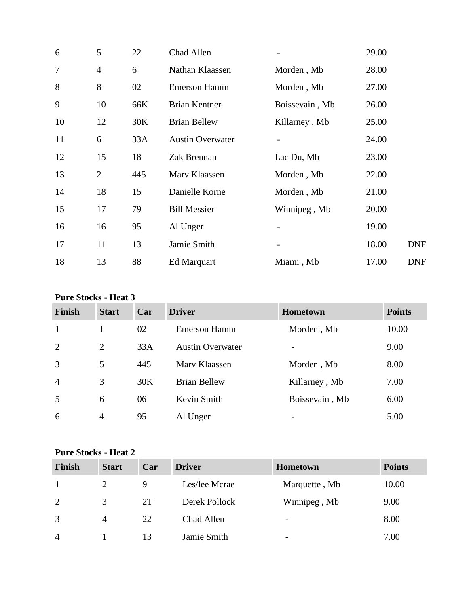| 6              | 5              | 22  | Chad Allen              |                          | 29.00 |            |
|----------------|----------------|-----|-------------------------|--------------------------|-------|------------|
| $\overline{7}$ | $\overline{4}$ | 6   | Nathan Klaassen         | Morden, Mb               | 28.00 |            |
| 8              | 8              | 02  | <b>Emerson Hamm</b>     | Morden, Mb               | 27.00 |            |
| 9              | 10             | 66K | <b>Brian Kentner</b>    | Boissevain, Mb           | 26.00 |            |
| 10             | 12             | 30K | <b>Brian Bellew</b>     | Killarney, Mb            | 25.00 |            |
| 11             | 6              | 33A | <b>Austin Overwater</b> |                          | 24.00 |            |
| 12             | 15             | 18  | Zak Brennan             | Lac Du, Mb               | 23.00 |            |
| 13             | $\overline{2}$ | 445 | Marv Klaassen           | Morden, Mb               | 22.00 |            |
| 14             | 18             | 15  | Danielle Korne          | Morden, Mb               | 21.00 |            |
| 15             | 17             | 79  | <b>Bill Messier</b>     | Winnipeg, Mb             | 20.00 |            |
| 16             | 16             | 95  | Al Unger                |                          | 19.00 |            |
| 17             | 11             | 13  | Jamie Smith             | $\overline{\phantom{a}}$ | 18.00 | <b>DNF</b> |
| 18             | 13             | 88  | Ed Marquart             | Miami, Mb                | 17.00 | <b>DNF</b> |

### **Pure Stocks - Heat 3**

| <b>Finish</b>  | <b>Start</b>   | Car | <b>Driver</b>           | <b>Hometown</b> | <b>Points</b> |
|----------------|----------------|-----|-------------------------|-----------------|---------------|
| $\mathbf{1}$   |                | 02  | <b>Emerson Hamm</b>     | Morden, Mb      | 10.00         |
| 2              | 2              | 33A | <b>Austin Overwater</b> |                 | 9.00          |
| 3              | 5              | 445 | Mary Klaassen           | Morden, Mb      | 8.00          |
| $\overline{4}$ | 3              | 30K | <b>Brian Bellew</b>     | Killarney, Mb   | 7.00          |
| 5              | 6              | 06  | Kevin Smith             | Boissevain, Mb  | 6.00          |
| 6              | $\overline{4}$ | 95  | Al Unger                |                 | 5.00          |

### **Pure Stocks - Heat 2**

| <b>Finish</b>  | <b>Start</b> | Car | <b>Driver</b> | <b>Hometown</b>          | <b>Points</b> |
|----------------|--------------|-----|---------------|--------------------------|---------------|
|                |              | 9   | Les/lee Mcrae | Marquette, Mb            | 10.00         |
| 2              | 3            | 2T  | Derek Pollock | Winnipeg, Mb             | 9.00          |
| 3              | 4            | 22  | Chad Allen    | $\overline{\phantom{0}}$ | 8.00          |
| $\overline{4}$ |              | 13  | Jamie Smith   | $\overline{\phantom{0}}$ | 7.00          |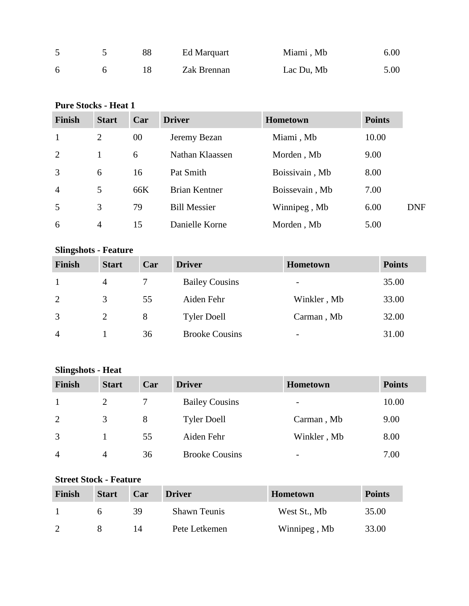|   | 88 | Ed Marquart | Miami, Mb  | 6.00 |
|---|----|-------------|------------|------|
| 6 |    | Zak Brennan | Lac Du, Mb | 5.00 |

# **Pure Stocks - Heat 1**

| <b>Finish</b>  | <b>Start</b>   | Car | <b>Driver</b>        | <b>Hometown</b> | <b>Points</b> |            |
|----------------|----------------|-----|----------------------|-----------------|---------------|------------|
| $\mathbf{1}$   | $\overline{2}$ | 00  | Jeremy Bezan         | Miami, Mb       | 10.00         |            |
| 2              |                | 6   | Nathan Klaassen      | Morden, Mb      | 9.00          |            |
| 3              | 6              | 16  | Pat Smith            | Boissivain, Mb  | 8.00          |            |
| $\overline{4}$ | 5              | 66K | <b>Brian Kentner</b> | Boissevain, Mb  | 7.00          |            |
| 5              | 3              | 79  | <b>Bill Messier</b>  | Winnipeg, Mb    | 6.00          | <b>DNF</b> |
| 6              | $\overline{4}$ | 15  | Danielle Korne       | Morden, Mb      | 5.00          |            |

# **Slingshots - Feature**

| <b>Finish</b>  | <b>Start</b>   | Car | <b>Driver</b>         | <b>Hometown</b>          | <b>Points</b> |
|----------------|----------------|-----|-----------------------|--------------------------|---------------|
|                | $\overline{4}$ |     | <b>Bailey Cousins</b> | $\overline{\phantom{a}}$ | 35.00         |
| 2              | 3              | 55  | Aiden Fehr            | Winkler, Mb              | 33.00         |
| 3              | 2              | 8   | <b>Tyler Doell</b>    | Carman, Mb               | 32.00         |
| $\overline{4}$ |                | 36  | <b>Brooke Cousins</b> | -                        | 31.00         |

# **Slingshots - Heat**

| <b>Finish</b>  | <b>Start</b>   | Car | <b>Driver</b>         | <b>Hometown</b>          | <b>Points</b> |
|----------------|----------------|-----|-----------------------|--------------------------|---------------|
|                | 2              |     | <b>Bailey Cousins</b> | $\overline{\phantom{a}}$ | 10.00         |
| 2              | 3              | 8   | <b>Tyler Doell</b>    | Carman, Mb               | 9.00          |
| 3              |                | 55  | Aiden Fehr            | Winkler, Mb              | 8.00          |
| $\overline{4}$ | $\overline{4}$ | 36  | <b>Brooke Cousins</b> | $\overline{\phantom{a}}$ | 7.00          |

# **Street Stock - Feature**

| Finish | <b>Start</b> | Car | <b>Driver</b>       | <b>Hometown</b> | <b>Points</b> |
|--------|--------------|-----|---------------------|-----------------|---------------|
|        |              | 39  | <b>Shawn Teunis</b> | West St., Mb    | 35.00         |
|        |              | 14  | Pete Letkemen       | Winnipeg, Mb    | 33.00         |